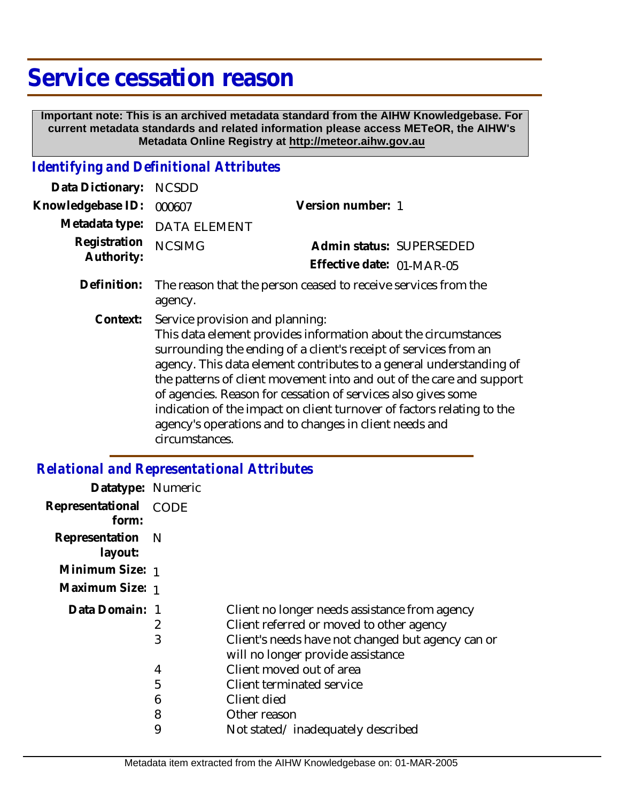## **Service cessation reason**

 **Important note: This is an archived metadata standard from the AIHW Knowledgebase. For current metadata standards and related information please access METeOR, the AIHW's Metadata Online Registry at http://meteor.aihw.gov.au**

## *Identifying and Definitional Attributes*

| Data Dictionary:           | <b>NCSDD</b>                                                                                                                                                                                                                                                                                                                                                                                                                                                                                                                                |                           |
|----------------------------|---------------------------------------------------------------------------------------------------------------------------------------------------------------------------------------------------------------------------------------------------------------------------------------------------------------------------------------------------------------------------------------------------------------------------------------------------------------------------------------------------------------------------------------------|---------------------------|
| Knowledgebase ID:          | 000607                                                                                                                                                                                                                                                                                                                                                                                                                                                                                                                                      | Version number: 1         |
| Metadata type:             | <b>DATA ELEMENT</b>                                                                                                                                                                                                                                                                                                                                                                                                                                                                                                                         |                           |
| Registration<br>Authority: | <b>NCSIMG</b>                                                                                                                                                                                                                                                                                                                                                                                                                                                                                                                               | Admin status: SUPERSEDED  |
|                            |                                                                                                                                                                                                                                                                                                                                                                                                                                                                                                                                             | Effective date: 01-MAR-05 |
| Definition:                | The reason that the person ceased to receive services from the<br>agency.                                                                                                                                                                                                                                                                                                                                                                                                                                                                   |                           |
| Context:                   | Service provision and planning:<br>This data element provides information about the circumstances<br>surrounding the ending of a client's receipt of services from an<br>agency. This data element contributes to a general understanding of<br>the patterns of client movement into and out of the care and support<br>of agencies. Reason for cessation of services also gives some<br>indication of the impact on client turnover of factors relating to the<br>agency's operations and to changes in client needs and<br>circumstances. |                           |

## *Relational and Representational Attributes*

| Datatype: Numeric           |      |                                                                                        |
|-----------------------------|------|----------------------------------------------------------------------------------------|
| Representational<br>form:   | CODE |                                                                                        |
| Representation N<br>layout: |      |                                                                                        |
| Minimum Size: 1             |      |                                                                                        |
| Maximum Size: 1             |      |                                                                                        |
| Data Domain: 1              |      | Client no longer needs assistance from agency                                          |
|                             | 2    | Client referred or moved to other agency                                               |
|                             | 3    | Client's needs have not changed but agency can or<br>will no longer provide assistance |
|                             | 4    | Client moved out of area                                                               |
|                             | 5    | Client terminated service                                                              |
|                             | 6    | Client died                                                                            |
|                             | 8    | Other reason                                                                           |
|                             | 9    | Not stated/inadequately described                                                      |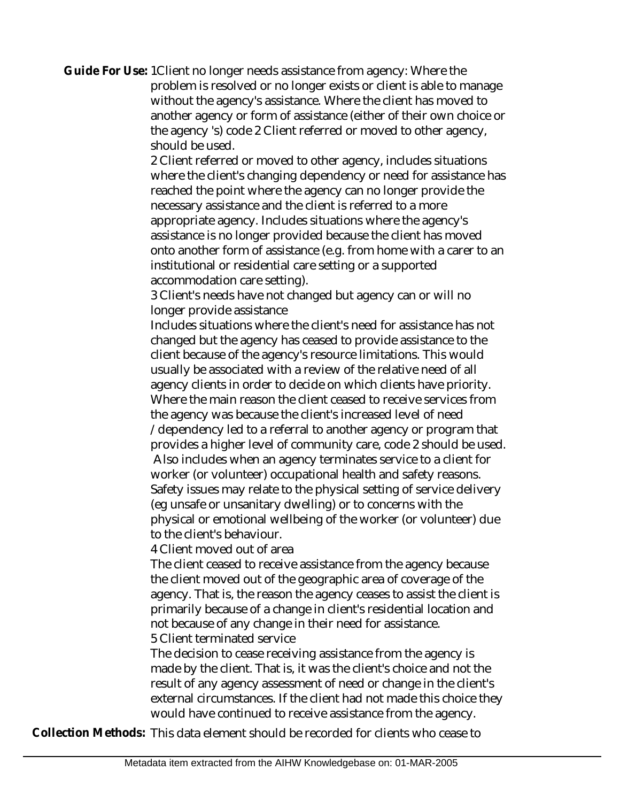Guide For Use: 1Client no longer needs assistance from agency: Where the problem is resolved or no longer exists or client is able to manage without the agency's assistance. Where the client has moved to another agency or form of assistance (either of their own choice or the agency 's) code 2 Client referred or moved to other agency, should be used.

> 2 Client referred or moved to other agency, includes situations where the client's changing dependency or need for assistance has reached the point where the agency can no longer provide the necessary assistance and the client is referred to a more appropriate agency. Includes situations where the agency's assistance is no longer provided because the client has moved onto another form of assistance (e.g. from home with a carer to an institutional or residential care setting or a supported accommodation care setting).

3 Client's needs have not changed but agency can or will no longer provide assistance

Includes situations where the client's need for assistance has not changed but the agency has ceased to provide assistance to the client because of the agency's resource limitations. This would usually be associated with a review of the relative need of all agency clients in order to decide on which clients have priority. Where the main reason the client ceased to receive services from the agency was because the client's increased level of need /dependency led to a referral to another agency or program that provides a higher level of community care, code 2 should be used. Also includes when an agency terminates service to a client for worker (or volunteer) occupational health and safety reasons. Safety issues may relate to the physical setting of service delivery (eg unsafe or unsanitary dwelling) or to concerns with the physical or emotional wellbeing of the worker (or volunteer) due to the client's behaviour.

4 Client moved out of area

The client ceased to receive assistance from the agency because the client moved out of the geographic area of coverage of the agency. That is, the reason the agency ceases to assist the client is primarily because of a change in client's residential location and not because of any change in their need for assistance. 5 Client terminated service

The decision to cease receiving assistance from the agency is made by the client. That is, it was the client's choice and not the result of any agency assessment of need or change in the client's external circumstances. If the client had not made this choice they would have continued to receive assistance from the agency.

**Collection Methods:** This data element should be recorded for clients who cease to